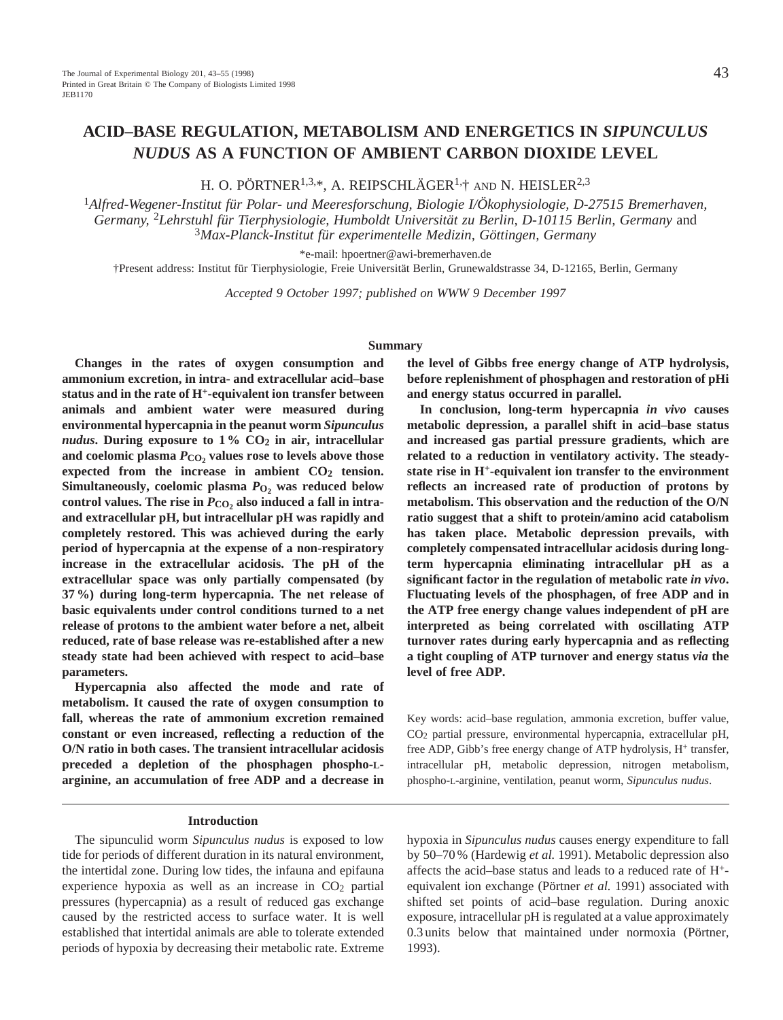# **ACID–BASE REGULATION, METABOLISM AND ENERGETICS IN** *SIPUNCULUS NUDUS* **AS A FUNCTION OF AMBIENT CARBON DIOXIDE LEVEL**

H. O. PÖRTNER<sup>1,3,\*</sup>, A. REIPSCHLÄGER<sup>1,†</sup> AND N. HEISLER<sup>2,3</sup>

<sup>1</sup>*Alfred-Wegener-Institut für Polar- und Meeresforschung, Biologie I/Ökophysiologie, D-27515 Bremerhaven, Germany,* 2*Lehrstuhl für Tierphysiologie, Humboldt Universität zu Berlin, D-10115 Berlin, Germany* and <sup>3</sup>*Max-Planck-Institut für experimentelle Medizin, Göttingen, Germany*

\*e-mail: hpoertner@awi-bremerhaven.de

†Present address: Institut für Tierphysiologie, Freie Universität Berlin, Grunewaldstrasse 34, D-12165, Berlin, Germany

*Accepted 9 October 1997; published on WWW 9 December 1997*

## **Summary**

**Changes in the rates of oxygen consumption and ammonium excretion, in intra- and extracellular acid–base status and in the rate of H+-equivalent ion transfer between animals and ambient water were measured during environmental hypercapnia in the peanut worm** *Sipunculus nudus***.** During exposure to  $1\%$  CO<sub>2</sub> in air, intracellular and coelomic plasma  $P_{CO_2}$  values rose to levels above those expected from the increase in ambient CO<sub>2</sub> tension. Simultaneously, coelomic plasma  $P_{O_2}$  was reduced below control values. The rise in  $P_{\text{CO}}$  also induced a fall in intra**and extracellular pH, but intracellular pH was rapidly and completely restored. This was achieved during the early period of hypercapnia at the expense of a non-respiratory increase in the extracellular acidosis. The pH of the extracellular space was only partially compensated (by 37 %) during long-term hypercapnia. The net release of basic equivalents under control conditions turned to a net release of protons to the ambient water before a net, albeit reduced, rate of base release was re-established after a new steady state had been achieved with respect to acid–base parameters.**

**Hypercapnia also affected the mode and rate of metabolism. It caused the rate of oxygen consumption to fall, whereas the rate of ammonium excretion remained constant or even increased, reflecting a reduction of the O/N ratio in both cases. The transient intracellular acidosis preceded a depletion of the phosphagen phospho-Larginine, an accumulation of free ADP and a decrease in**

## **Introduction**

The sipunculid worm *Sipunculus nudus* is exposed to low tide for periods of different duration in its natural environment, the intertidal zone. During low tides, the infauna and epifauna experience hypoxia as well as an increase in  $CO<sub>2</sub>$  partial pressures (hypercapnia) as a result of reduced gas exchange caused by the restricted access to surface water. It is well established that intertidal animals are able to tolerate extended periods of hypoxia by decreasing their metabolic rate. Extreme

**the level of Gibbs free energy change of ATP hydrolysis, before replenishment of phosphagen and restoration of pHi and energy status occurred in parallel.**

**In conclusion, long-term hypercapnia** *in vivo* **causes metabolic depression, a parallel shift in acid–base status and increased gas partial pressure gradients, which are related to a reduction in ventilatory activity. The steadystate rise in H+-equivalent ion transfer to the environment reflects an increased rate of production of protons by metabolism. This observation and the reduction of the O/N ratio suggest that a shift to protein/amino acid catabolism has taken place. Metabolic depression prevails, with completely compensated intracellular acidosis during longterm hypercapnia eliminating intracellular pH as a significant factor in the regulation of metabolic rate** *in vivo***. Fluctuating levels of the phosphagen, of free ADP and in the ATP free energy change values independent of pH are interpreted as being correlated with oscillating ATP turnover rates during early hypercapnia and as reflecting a tight coupling of ATP turnover and energy status** *via* **the level of free ADP.**

Key words: acid–base regulation, ammonia excretion, buffer value, CO2 partial pressure, environmental hypercapnia, extracellular pH, free ADP, Gibb's free energy change of ATP hydrolysis, H<sup>+</sup> transfer, intracellular pH, metabolic depression, nitrogen metabolism, phospho-L-arginine, ventilation, peanut worm, *Sipunculus nudus*.

hypoxia in *Sipunculus nudus* causes energy expenditure to fall by 50–70 % (Hardewig *et al.* 1991). Metabolic depression also affects the acid–base status and leads to a reduced rate of H+ equivalent ion exchange (Pörtner *et al.* 1991) associated with shifted set points of acid–base regulation. During anoxic exposure, intracellular pH is regulated at a value approximately 0.3 units below that maintained under normoxia (Pörtner, 1993).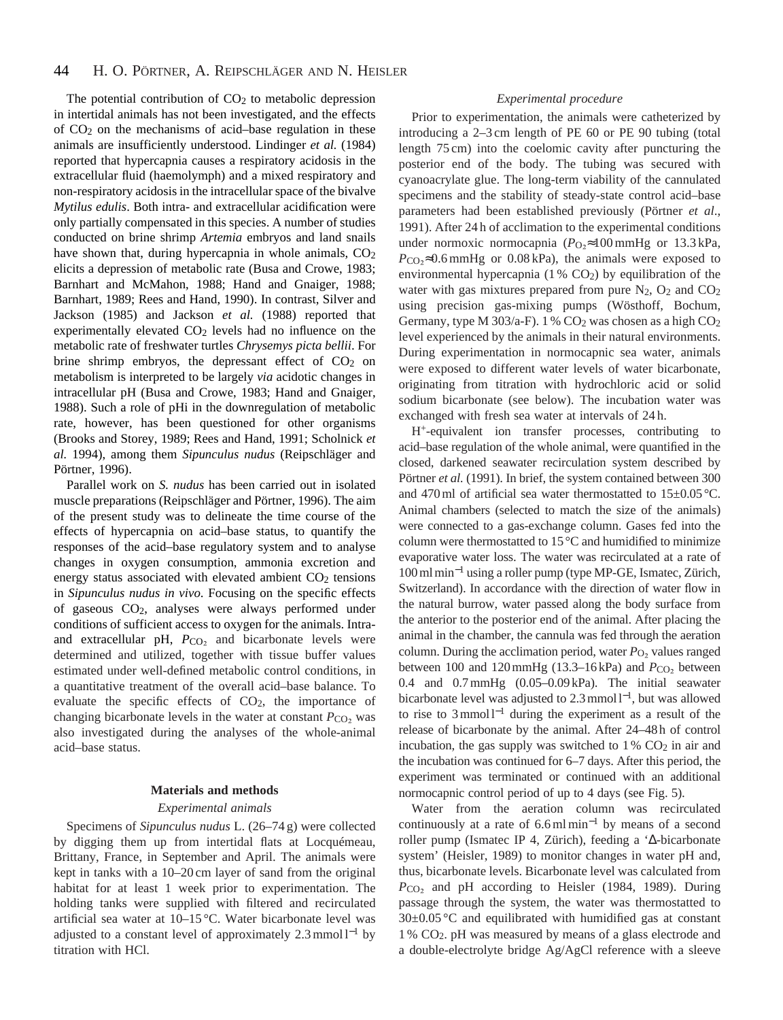The potential contribution of  $CO<sub>2</sub>$  to metabolic depression in intertidal animals has not been investigated, and the effects of CO2 on the mechanisms of acid–base regulation in these animals are insufficiently understood. Lindinger *et al.* (1984) reported that hypercapnia causes a respiratory acidosis in the extracellular fluid (haemolymph) and a mixed respiratory and non-respiratory acidosis in the intracellular space of the bivalve *Mytilus edulis*. Both intra- and extracellular acidification were only partially compensated in this species. A number of studies conducted on brine shrimp *Artemia* embryos and land snails have shown that, during hypercapnia in whole animals,  $CO<sub>2</sub>$ elicits a depression of metabolic rate (Busa and Crowe, 1983; Barnhart and McMahon, 1988; Hand and Gnaiger, 1988; Barnhart, 1989; Rees and Hand, 1990). In contrast, Silver and Jackson (1985) and Jackson *et al.* (1988) reported that experimentally elevated  $CO<sub>2</sub>$  levels had no influence on the metabolic rate of freshwater turtles *Chrysemys picta bellii*. For brine shrimp embryos, the depressant effect of  $CO<sub>2</sub>$  on metabolism is interpreted to be largely *via* acidotic changes in intracellular pH (Busa and Crowe, 1983; Hand and Gnaiger, 1988). Such a role of pHi in the downregulation of metabolic rate, however, has been questioned for other organisms (Brooks and Storey, 1989; Rees and Hand, 1991; Scholnick *et al.* 1994), among them *Sipunculus nudus* (Reipschläger and Pörtner, 1996).

Parallel work on *S. nudus* has been carried out in isolated muscle preparations (Reipschläger and Pörtner, 1996). The aim of the present study was to delineate the time course of the effects of hypercapnia on acid–base status, to quantify the responses of the acid–base regulatory system and to analyse changes in oxygen consumption, ammonia excretion and energy status associated with elevated ambient CO<sub>2</sub> tensions in *Sipunculus nudus in vivo*. Focusing on the specific effects of gaseous CO2, analyses were always performed under conditions of sufficient access to oxygen for the animals. Intraand extracellular pH,  $P_{CO<sub>2</sub>}$  and bicarbonate levels were determined and utilized, together with tissue buffer values estimated under well-defined metabolic control conditions, in a quantitative treatment of the overall acid–base balance. To evaluate the specific effects of CO2, the importance of changing bicarbonate levels in the water at constant  $P_{CO_2}$  was also investigated during the analyses of the whole-animal acid–base status.

## **Materials and methods**

## *Experimental animals*

Specimens of *Sipunculus nudus* L. (26–74 g) were collected by digging them up from intertidal flats at Locquémeau, Brittany, France, in September and April. The animals were kept in tanks with a 10–20 cm layer of sand from the original habitat for at least 1 week prior to experimentation. The holding tanks were supplied with filtered and recirculated artificial sea water at 10–15 °C. Water bicarbonate level was adjusted to a constant level of approximately 2.3 mmol  $l^{-1}$  by titration with HCl.

# *Experimental procedure*

Prior to experimentation, the animals were catheterized by introducing a 2–3 cm length of PE 60 or PE 90 tubing (total length 75 cm) into the coelomic cavity after puncturing the posterior end of the body. The tubing was secured with cyanoacrylate glue. The long-term viability of the cannulated specimens and the stability of steady-state control acid–base parameters had been established previously (Pörtner *et al*., 1991). After 24 h of acclimation to the experimental conditions under normoxic normocapnia ( $P<sub>O2</sub>≈100$  mmHg or 13.3 kPa,  $P_{\rm CO_2} \approx 0.6$  mmHg or 0.08 kPa), the animals were exposed to environmental hypercapnia  $(1\%$  CO<sub>2</sub>) by equilibration of the water with gas mixtures prepared from pure  $N_2$ ,  $O_2$  and  $CO_2$ using precision gas-mixing pumps (Wösthoff, Bochum, Germany, type M 303/a-F). 1 % CO<sub>2</sub> was chosen as a high CO<sub>2</sub> level experienced by the animals in their natural environments. During experimentation in normocapnic sea water, animals were exposed to different water levels of water bicarbonate, originating from titration with hydrochloric acid or solid sodium bicarbonate (see below). The incubation water was exchanged with fresh sea water at intervals of 24 h.

H+-equivalent ion transfer processes, contributing to acid–base regulation of the whole animal, were quantified in the closed, darkened seawater recirculation system described by Pörtner *et al.* (1991). In brief, the system contained between 300 and 470 ml of artificial sea water thermostatted to  $15\pm0.05$  °C. Animal chambers (selected to match the size of the animals) were connected to a gas-exchange column. Gases fed into the column were thermostatted to 15 °C and humidified to minimize evaporative water loss. The water was recirculated at a rate of 100 ml min−<sup>1</sup> using a roller pump (type MP-GE, Ismatec, Zürich, Switzerland). In accordance with the direction of water flow in the natural burrow, water passed along the body surface from the anterior to the posterior end of the animal. After placing the animal in the chamber, the cannula was fed through the aeration column. During the acclimation period, water  $P_{\text{O}_2}$  values ranged between  $100$  and  $120$  mmHg  $(13.3–16$  kPa) and  $P_{CO_2}$  between 0.4 and 0.7 mmHg (0.05–0.09 kPa). The initial seawater bicarbonate level was adjusted to 2.3 mmol l<sup>−</sup>1, but was allowed to rise to 3 mmol l−<sup>1</sup> during the experiment as a result of the release of bicarbonate by the animal. After 24–48 h of control incubation, the gas supply was switched to  $1\%$  CO<sub>2</sub> in air and the incubation was continued for 6–7 days. After this period, the experiment was terminated or continued with an additional normocapnic control period of up to 4 days (see Fig. 5).

Water from the aeration column was recirculated continuously at a rate of 6.6 ml min−<sup>1</sup> by means of a second roller pump (Ismatec IP 4, Zürich), feeding a '∆-bicarbonate system' (Heisler, 1989) to monitor changes in water pH and, thus, bicarbonate levels. Bicarbonate level was calculated from *P*CO<sub>2</sub> and pH according to Heisler (1984, 1989). During passage through the system, the water was thermostatted to 30±0.05 °C and equilibrated with humidified gas at constant 1 % CO2. pH was measured by means of a glass electrode and a double-electrolyte bridge Ag/AgCl reference with a sleeve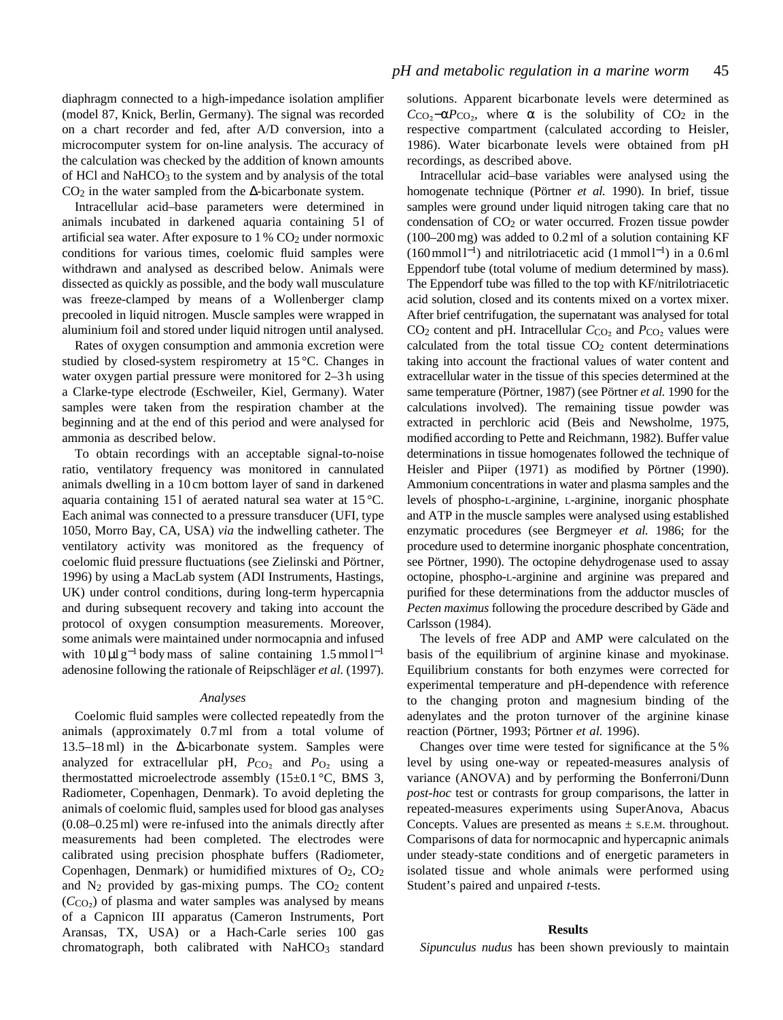diaphragm connected to a high-impedance isolation amplifier (model 87, Knick, Berlin, Germany). The signal was recorded on a chart recorder and fed, after A/D conversion, into a microcomputer system for on-line analysis. The accuracy of the calculation was checked by the addition of known amounts of HCl and NaHCO<sub>3</sub> to the system and by analysis of the total  $CO<sub>2</sub>$  in the water sampled from the  $\Delta$ -bicarbonate system.

Intracellular acid–base parameters were determined in animals incubated in darkened aquaria containing 51 of artificial sea water. After exposure to  $1\%$  CO<sub>2</sub> under normoxic conditions for various times, coelomic fluid samples were withdrawn and analysed as described below. Animals were dissected as quickly as possible, and the body wall musculature was freeze-clamped by means of a Wollenberger clamp precooled in liquid nitrogen. Muscle samples were wrapped in aluminium foil and stored under liquid nitrogen until analysed.

Rates of oxygen consumption and ammonia excretion were studied by closed-system respirometry at 15 °C. Changes in water oxygen partial pressure were monitored for 2–3 h using a Clarke-type electrode (Eschweiler, Kiel, Germany). Water samples were taken from the respiration chamber at the beginning and at the end of this period and were analysed for ammonia as described below.

To obtain recordings with an acceptable signal-to-noise ratio, ventilatory frequency was monitored in cannulated animals dwelling in a 10 cm bottom layer of sand in darkened aquaria containing 151 of aerated natural sea water at  $15^{\circ}$ C. Each animal was connected to a pressure transducer (UFI, type 1050, Morro Bay, CA, USA) *via* the indwelling catheter. The ventilatory activity was monitored as the frequency of coelomic fluid pressure fluctuations (see Zielinski and Pörtner, 1996) by using a MacLab system (ADI Instruments, Hastings, UK) under control conditions, during long-term hypercapnia and during subsequent recovery and taking into account the protocol of oxygen consumption measurements. Moreover, some animals were maintained under normocapnia and infused with  $10 \mu l$  g<sup>-1</sup> body mass of saline containing  $1.5$  mmol l<sup>-1</sup> adenosine following the rationale of Reipschläger *et al.* (1997).

#### *Analyses*

Coelomic fluid samples were collected repeatedly from the animals (approximately 0.7 ml from a total volume of 13.5–18 ml) in the ∆-bicarbonate system. Samples were analyzed for extracellular pH,  $P_{C_2}$  and  $P_{O_2}$  using a thermostatted microelectrode assembly  $(15\pm0.1 \degree C, \text{ BMS}$  3, Radiometer, Copenhagen, Denmark). To avoid depleting the animals of coelomic fluid, samples used for blood gas analyses (0.08–0.25 ml) were re-infused into the animals directly after measurements had been completed. The electrodes were calibrated using precision phosphate buffers (Radiometer, Copenhagen, Denmark) or humidified mixtures of  $O<sub>2</sub>$ ,  $CO<sub>2</sub>$ and  $N_2$  provided by gas-mixing pumps. The  $CO<sub>2</sub>$  content  $(C<sub>CO<sub>2</sub></sub>)$  of plasma and water samples was analysed by means of a Capnicon III apparatus (Cameron Instruments, Port Aransas, TX, USA) or a Hach-Carle series 100 gas chromatograph, both calibrated with NaHCO3 standard

solutions. Apparent bicarbonate levels were determined as  $C_{\text{CO}_2}$ −α $P_{\text{CO}_2}$ , where  $\alpha$  is the solubility of CO<sub>2</sub> in the respective compartment (calculated according to Heisler, 1986). Water bicarbonate levels were obtained from pH recordings, as described above.

Intracellular acid–base variables were analysed using the homogenate technique (Pörtner *et al.* 1990). In brief, tissue samples were ground under liquid nitrogen taking care that no condensation of  $CO<sub>2</sub>$  or water occurred. Frozen tissue powder (100–200 mg) was added to 0.2 ml of a solution containing KF  $(160 \text{ mmol } l^{-1})$  and nitrilotriacetic acid  $(1 \text{ mmol } l^{-1})$  in a 0.6 ml Eppendorf tube (total volume of medium determined by mass). The Eppendorf tube was filled to the top with KF/nitrilotriacetic acid solution, closed and its contents mixed on a vortex mixer. After brief centrifugation, the supernatant was analysed for total  $CO<sub>2</sub>$  content and pH. Intracellular  $C<sub>CO<sub>2</sub></sub>$  and  $P<sub>CO<sub>2</sub></sub>$  values were calculated from the total tissue  $CO<sub>2</sub>$  content determinations taking into account the fractional values of water content and extracellular water in the tissue of this species determined at the same temperature (Pörtner, 1987) (see Pörtner *et al.* 1990 for the calculations involved). The remaining tissue powder was extracted in perchloric acid (Beis and Newsholme, 1975, modified according to Pette and Reichmann, 1982). Buffer value determinations in tissue homogenates followed the technique of Heisler and Piiper (1971) as modified by Pörtner (1990). Ammonium concentrations in water and plasma samples and the levels of phospho-L-arginine, L-arginine, inorganic phosphate and ATP in the muscle samples were analysed using established enzymatic procedures (see Bergmeyer *et al.* 1986; for the procedure used to determine inorganic phosphate concentration, see Pörtner, 1990). The octopine dehydrogenase used to assay octopine, phospho-L-arginine and arginine was prepared and purified for these determinations from the adductor muscles of *Pecten maximus* following the procedure described by Gäde and Carlsson (1984).

The levels of free ADP and AMP were calculated on the basis of the equilibrium of arginine kinase and myokinase. Equilibrium constants for both enzymes were corrected for experimental temperature and pH-dependence with reference to the changing proton and magnesium binding of the adenylates and the proton turnover of the arginine kinase reaction (Pörtner, 1993; Pörtner *et al.* 1996).

Changes over time were tested for significance at the 5 % level by using one-way or repeated-measures analysis of variance (ANOVA) and by performing the Bonferroni/Dunn *post-hoc* test or contrasts for group comparisons, the latter in repeated-measures experiments using SuperAnova, Abacus Concepts. Values are presented as means  $\pm$  s.E.M. throughout. Comparisons of data for normocapnic and hypercapnic animals under steady-state conditions and of energetic parameters in isolated tissue and whole animals were performed using Student's paired and unpaired *t*-tests.

#### **Results**

*Sipunculus nudus* has been shown previously to maintain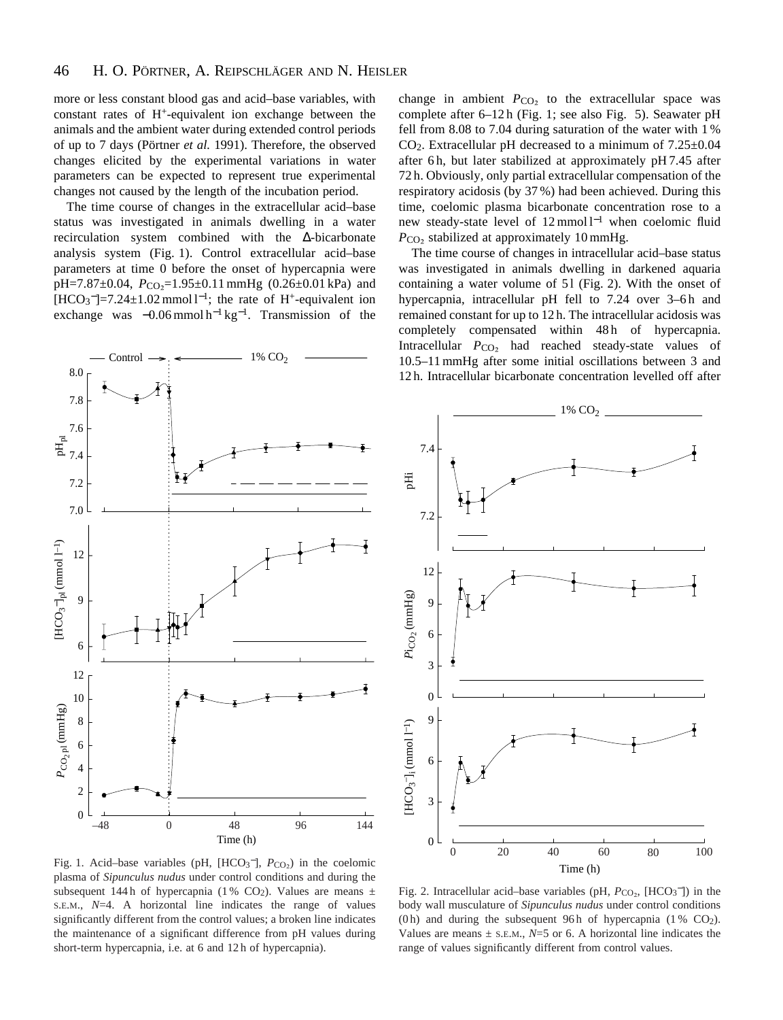more or less constant blood gas and acid–base variables, with constant rates of  $H<sup>+</sup>$ -equivalent ion exchange between the animals and the ambient water during extended control periods of up to 7 days (Pörtner *et al.* 1991). Therefore, the observed changes elicited by the experimental variations in water parameters can be expected to represent true experimental changes not caused by the length of the incubation period.

The time course of changes in the extracellular acid–base status was investigated in animals dwelling in a water recirculation system combined with the ∆-bicarbonate analysis system (Fig. 1). Control extracellular acid–base parameters at time 0 before the onset of hypercapnia were pH=7.87 $\pm$ 0.04,  $P_{CO_2}$ =1.95 $\pm$ 0.11 mmHg (0.26 $\pm$ 0.01 kPa) and  $[HCO<sub>3</sub><sup>-</sup>]=7.24±1.02$  mmol l<sup>-1</sup>; the rate of H<sup>+</sup>-equivalent ion exchange was  $-0.06$  mmol h<sup>-1</sup> kg<sup>-1</sup>. Transmission of the



change in ambient  $P_{CO<sub>2</sub>}$  to the extracellular space was complete after 6–12 h (Fig. 1; see also Fig. 5). Seawater pH fell from 8.08 to 7.04 during saturation of the water with 1 %  $CO<sub>2</sub>$ . Extracellular pH decreased to a minimum of  $7.25\pm0.04$ after 6h, but later stabilized at approximately pH 7.45 after 72 h. Obviously, only partial extracellular compensation of the respiratory acidosis (by 37 %) had been achieved. During this time, coelomic plasma bicarbonate concentration rose to a new steady-state level of 12 mmol l<sup>-1</sup> when coelomic fluid  $P_{CO<sub>2</sub>}$  stabilized at approximately 10 mmHg.

The time course of changes in intracellular acid–base status was investigated in animals dwelling in darkened aquaria containing a water volume of 51 (Fig. 2). With the onset of hypercapnia, intracellular pH fell to 7.24 over 3–6h and remained constant for up to 12 h. The intracellular acidosis was completely compensated within 48h of hypercapnia. Intracellular *P*<sub>CO2</sub> had reached steady-state values of 10.5–11 mmHg after some initial oscillations between 3 and 12 h. Intracellular bicarbonate concentration levelled off after



Fig. 1. Acid–base variables (pH, [HCO<sub>3</sub><sup>-</sup>],  $P_{CO_2}$ ) in the coelomic plasma of *Sipunculus nudus* under control conditions and during the subsequent 144 h of hypercapnia (1% CO<sub>2</sub>). Values are means  $\pm$ S.E.M., *N*=4. A horizontal line indicates the range of values significantly different from the control values; a broken line indicates the maintenance of a significant difference from pH values during short-term hypercapnia, i.e. at 6 and 12 h of hypercapnia).

Fig. 2. Intracellular acid–base variables (pH,  $P_{CO_2}$ , [HCO<sub>3</sub><sup>-</sup>]) in the body wall musculature of *Sipunculus nudus* under control conditions (0h) and during the subsequent 96h of hypercapnia (1%  $CO<sub>2</sub>$ ). Values are means  $\pm$  s.e.m.,  $N=5$  or 6. A horizontal line indicates the range of values significantly different from control values.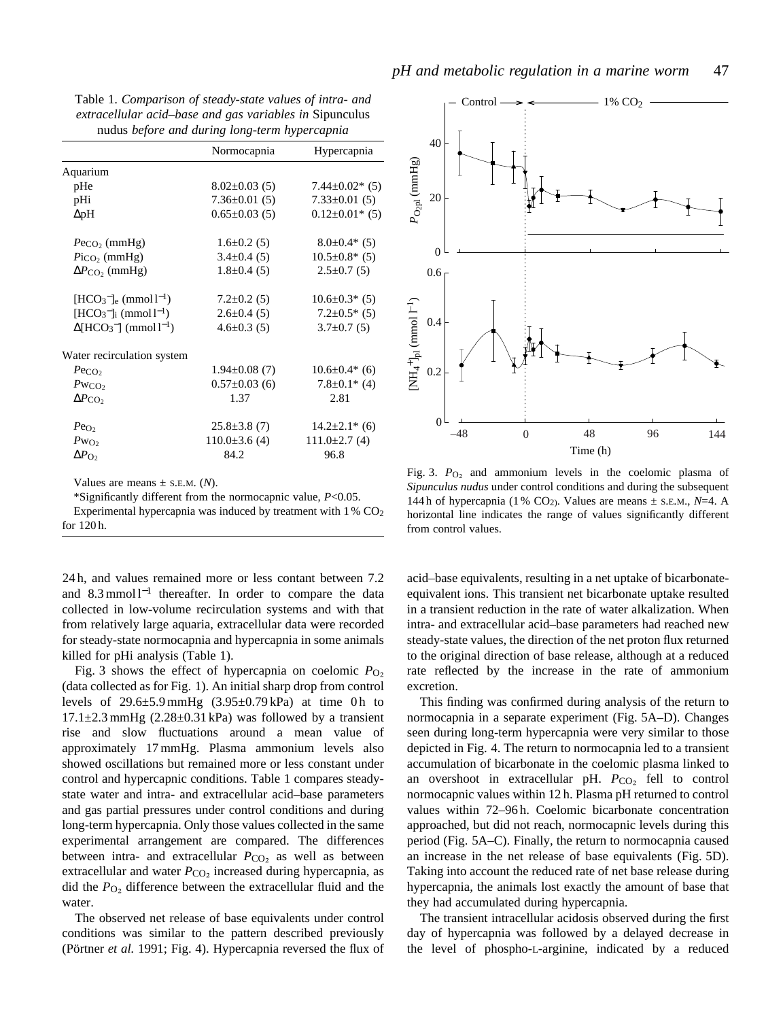Table 1. *Comparison of steady-state values of intra- and extracellular acid–base and gas variables in* Sipunculus nudus *before and during long-term hypercapnia*

|                                                | Normocapnia         | Hypercapnia           |
|------------------------------------------------|---------------------|-----------------------|
| Aquarium                                       |                     |                       |
| pHe                                            | $8.02 \pm 0.03$ (5) | $7.44 \pm 0.02$ * (5) |
| pHi                                            | $7.36 \pm 0.01$ (5) | $7.33 \pm 0.01$ (5)   |
| $\Delta$ pH                                    | $0.65 \pm 0.03$ (5) | $0.12 \pm 0.01^*$ (5) |
| $P_{\rm{eCO}_2}$ (mmHg)                        | $1.6 \pm 0.2$ (5)   | $8.0 \pm 0.4$ * (5)   |
| $P_{\text{ICO}_2}$ (mmHg)                      | $3.4 \pm 0.4$ (5)   | $10.5 \pm 0.8^*$ (5)  |
| $\Delta P_{\rm CO}$ , (mmHg)                   | $1.8 \pm 0.4$ (5)   | $2.5 \pm 0.7$ (5)     |
| $[HCO3-]_{e}$ (mmol l <sup>-1</sup> )          | $7.2 \pm 0.2$ (5)   | $10.6 \pm 0.3^*$ (5)  |
| $[HCO3-]$ <sub>i</sub> (mmol l <sup>-1</sup> ) | $2.6 \pm 0.4$ (5)   | $7.2 \pm 0.5$ * (5)   |
| $\Delta[\text{HCO}_3^-]$ (mmol $l^{-1}$ )      | $4.6 \pm 0.3$ (5)   | $3.7\pm0.7(5)$        |
| Water recirculation system                     |                     |                       |
| $P_{\rm{eCO}_2}$                               | $1.94 \pm 0.08$ (7) | $10.6 \pm 0.4*$ (6)   |
| $Pw_{CO}$                                      | $0.57 \pm 0.03$ (6) | $7.8 \pm 0.1^*$ (4)   |
| $\Delta P_{\rm CO_2}$                          | 1.37                | 2.81                  |
| $Pe_{\text{O}_2}$                              | $25.8 \pm 3.8$ (7)  | $14.2 \pm 2.1^*$ (6)  |
| $Pw_{O_2}$                                     | $110.0\pm3.6(4)$    | $111.0\pm2.7(4)$      |
| $\Delta P_{\text{O}_2}$                        | 84.2                | 96.8                  |

Values are means  $\pm$  s.E.M. (*N*).

\*Significantly different from the normocapnic value, *P*<0.05. Experimental hypercapnia was induced by treatment with  $1\%$  CO<sub>2</sub> for 120 h.

24 h, and values remained more or less contant between 7.2 and 8.3 mmol l<sup>−1</sup> thereafter. In order to compare the data collected in low-volume recirculation systems and with that from relatively large aquaria, extracellular data were recorded for steady-state normocapnia and hypercapnia in some animals killed for pHi analysis (Table 1).

Fig. 3 shows the effect of hypercapnia on coelomic  $P_{\text{O}_2}$ (data collected as for Fig. 1). An initial sharp drop from control levels of  $29.6\pm5.9$  mmHg  $(3.95\pm0.79)$  kPa) at time 0 h to  $17.1\pm2.3$  mmHg  $(2.28\pm0.31)$  kPa) was followed by a transient rise and slow fluctuations around a mean value of approximately 17 mmHg. Plasma ammonium levels also showed oscillations but remained more or less constant under control and hypercapnic conditions. Table 1 compares steadystate water and intra- and extracellular acid–base parameters and gas partial pressures under control conditions and during long-term hypercapnia. Only those values collected in the same experimental arrangement are compared. The differences between intra- and extracellular  $P_{CO<sub>2</sub>}$  as well as between extracellular and water  $P_{CO_2}$  increased during hypercapnia, as did the  $P_{\text{O}_2}$  difference between the extracellular fluid and the water.

The observed net release of base equivalents under control conditions was similar to the pattern described previously (Pörtner *et al.* 1991; Fig. 4). Hypercapnia reversed the flux of



Fig. 3.  $P_{\text{O}_2}$  and ammonium levels in the coelomic plasma of *Sipunculus nudus* under control conditions and during the subsequent 144 h of hypercapnia (1 % CO<sub>2</sub>). Values are means  $\pm$  s.e.m., *N*=4. A horizontal line indicates the range of values significantly different from control values.

acid–base equivalents, resulting in a net uptake of bicarbonateequivalent ions. This transient net bicarbonate uptake resulted in a transient reduction in the rate of water alkalization. When intra- and extracellular acid–base parameters had reached new steady-state values, the direction of the net proton flux returned to the original direction of base release, although at a reduced rate reflected by the increase in the rate of ammonium excretion.

This finding was confirmed during analysis of the return to normocapnia in a separate experiment (Fig. 5A–D). Changes seen during long-term hypercapnia were very similar to those depicted in Fig. 4. The return to normocapnia led to a transient accumulation of bicarbonate in the coelomic plasma linked to an overshoot in extracellular pH.  $P_{CO_2}$  fell to control normocapnic values within 12 h. Plasma pH returned to control values within 72–96 h. Coelomic bicarbonate concentration approached, but did not reach, normocapnic levels during this period (Fig. 5A–C). Finally, the return to normocapnia caused an increase in the net release of base equivalents (Fig. 5D). Taking into account the reduced rate of net base release during hypercapnia, the animals lost exactly the amount of base that they had accumulated during hypercapnia.

The transient intracellular acidosis observed during the first day of hypercapnia was followed by a delayed decrease in the level of phospho-L-arginine, indicated by a reduced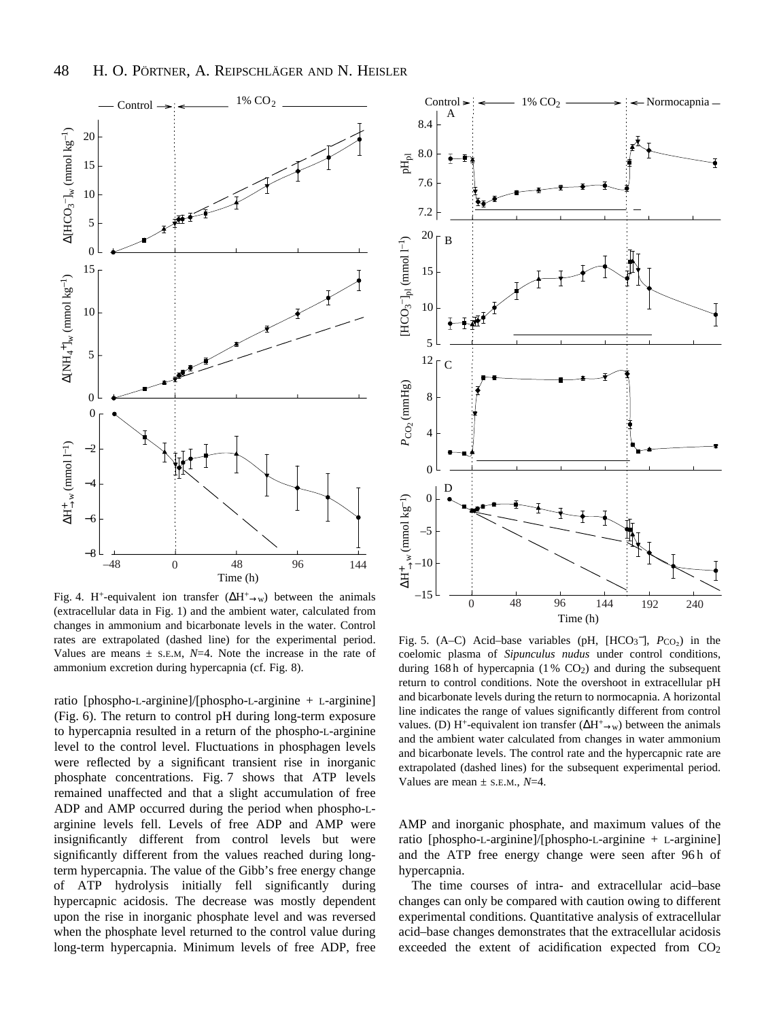

Fig. 4. H<sup>+</sup>-equivalent ion transfer  $(\Delta H^+_{\rightarrow w})$  between the animals (extracellular data in Fig. 1) and the ambient water, calculated from changes in ammonium and bicarbonate levels in the water. Control rates are extrapolated (dashed line) for the experimental period. Values are means  $\pm$  s.E.M,  $N=4$ . Note the increase in the rate of ammonium excretion during hypercapnia (cf. Fig. 8).

ratio [phospho-L-arginine]/[phospho-L-arginine + L-arginine] (Fig. 6). The return to control pH during long-term exposure to hypercapnia resulted in a return of the phospho-L-arginine level to the control level. Fluctuations in phosphagen levels were reflected by a significant transient rise in inorganic phosphate concentrations. Fig. 7 shows that ATP levels remained unaffected and that a slight accumulation of free ADP and AMP occurred during the period when phospho-Larginine levels fell. Levels of free ADP and AMP were insignificantly different from control levels but were significantly different from the values reached during longterm hypercapnia. The value of the Gibb's free energy change of ATP hydrolysis initially fell significantly during hypercapnic acidosis. The decrease was mostly dependent upon the rise in inorganic phosphate level and was reversed when the phosphate level returned to the control value during long-term hypercapnia. Minimum levels of free ADP, free



Fig. 5.  $(A-C)$  Acid–base variables (pH,  $[HCO_3^-]$ ,  $P_{CO_2}$ ) in the coelomic plasma of *Sipunculus nudus* under control conditions, during 168h of hypercapnia  $(1\%$  CO<sub>2</sub>) and during the subsequent return to control conditions. Note the overshoot in extracellular pH and bicarbonate levels during the return to normocapnia. A horizontal line indicates the range of values significantly different from control values. (D) H<sup>+</sup>-equivalent ion transfer ( $\Delta H^+$ <sub>→w</sub>) between the animals and the ambient water calculated from changes in water ammonium and bicarbonate levels. The control rate and the hypercapnic rate are extrapolated (dashed lines) for the subsequent experimental period. Values are mean  $\pm$  s.e.m.,  $N=4$ .

AMP and inorganic phosphate, and maximum values of the ratio [phospho-L-arginine]/[phospho-L-arginine + L-arginine] and the ATP free energy change were seen after 96h of hypercapnia.

The time courses of intra- and extracellular acid–base changes can only be compared with caution owing to different experimental conditions. Quantitative analysis of extracellular acid–base changes demonstrates that the extracellular acidosis exceeded the extent of acidification expected from CO<sub>2</sub>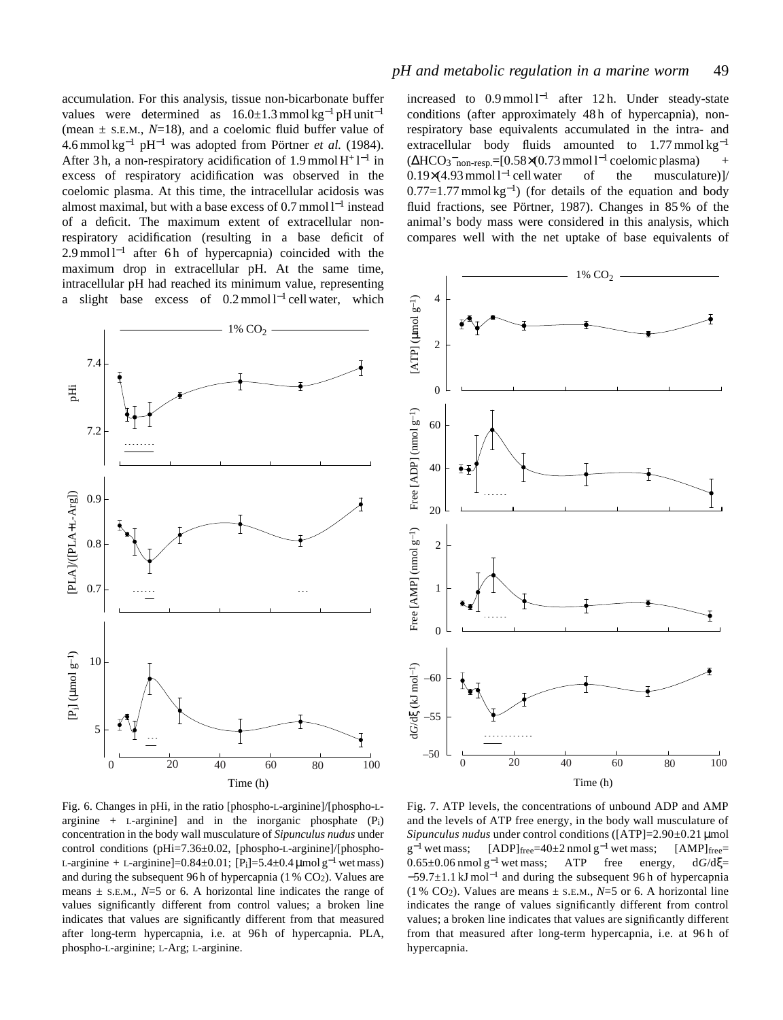accumulation. For this analysis, tissue non-bicarbonate buffer values were determined as  $16.0 \pm 1.3$  mmol kg<sup>-1</sup> pH unit<sup>-1</sup> (mean  $\pm$  s.e.m.,  $N=18$ ), and a coelomic fluid buffer value of 4.6 mmol kg−<sup>1</sup> pH−<sup>1</sup> was adopted from Pörtner *et al.* (1984). After 3h, a non-respiratory acidification of 1.9 mmol  $H^+l^{-1}$  in excess of respiratory acidification was observed in the coelomic plasma. At this time, the intracellular acidosis was almost maximal, but with a base excess of 0.7 mmol l−<sup>1</sup> instead of a deficit. The maximum extent of extracellular nonrespiratory acidification (resulting in a base deficit of 2.9 mmol l<sup>-1</sup> after 6 h of hypercapnia) coincided with the maximum drop in extracellular pH. At the same time, intracellular pH had reached its minimum value, representing a slight base excess of  $0.2 \text{ mmol } 1^{-1}$  cell water, which



increased to  $0.9 \text{ mmol } 1^{-1}$  after 12 h. Under steady-state conditions (after approximately 48 h of hypercapnia), nonrespiratory base equivalents accumulated in the intra- and extracellular body fluids amounted to  $1.77$  mmol kg<sup>-1</sup>  $(\Delta HCO_3$ <sup>-</sup><sub>non-resp.</sub>=[0.58×(0.73 mmol l<sup>-1</sup> coelomic plasma) + 0.19×(4.93 mmol l−<sup>1</sup> cell water of the musculature)]/  $0.77=1.77$  mmol kg<sup>-1</sup>) (for details of the equation and body fluid fractions, see Pörtner, 1987). Changes in 85 % of the animal's body mass were considered in this analysis, which compares well with the net uptake of base equivalents of



Fig. 6. Changes in pHi, in the ratio [phospho-L-arginine]/[phospho-Larginine + L-arginine and in the inorganic phosphate  $(P_i)$ concentration in the body wall musculature of *Sipunculus nudus* under control conditions (pHi=7.36±0.02, [phospho-L-arginine]/[phospho-L-arginine + L-arginine]=0.84±0.01; [P<sub>i</sub>]=5.4±0.4 μmol g<sup>-1</sup> wet mass) and during the subsequent 96 h of hypercapnia  $(1\%$  CO<sub>2</sub>). Values are means  $\pm$  s.E.M.,  $N=5$  or 6. A horizontal line indicates the range of values significantly different from control values; a broken line indicates that values are significantly different from that measured after long-term hypercapnia, i.e. at 96h of hypercapnia. PLA, phospho-L-arginine; L-Arg; L-arginine.

Fig. 7. ATP levels, the concentrations of unbound ADP and AMP and the levels of ATP free energy, in the body wall musculature of *Sipunculus nudus* under control conditions ([ATP]=2.90±0.21 µmol  $g^{-1}$  wet mass; [ADP]free=40±2 nmol  $g^{-1}$  wet mass; [AMP]free= 0.65±0.06 nmol g−<sup>1</sup> wet mass; ATP free energy, d*G*/dξ= −59.7±1.1 kJ mol−<sup>1</sup> and during the subsequent 96 h of hypercapnia (1 % CO<sub>2</sub>). Values are means  $\pm$  s.e.m., *N*=5 or 6. A horizontal line indicates the range of values significantly different from control values; a broken line indicates that values are significantly different from that measured after long-term hypercapnia, i.e. at 96 h of hypercapnia.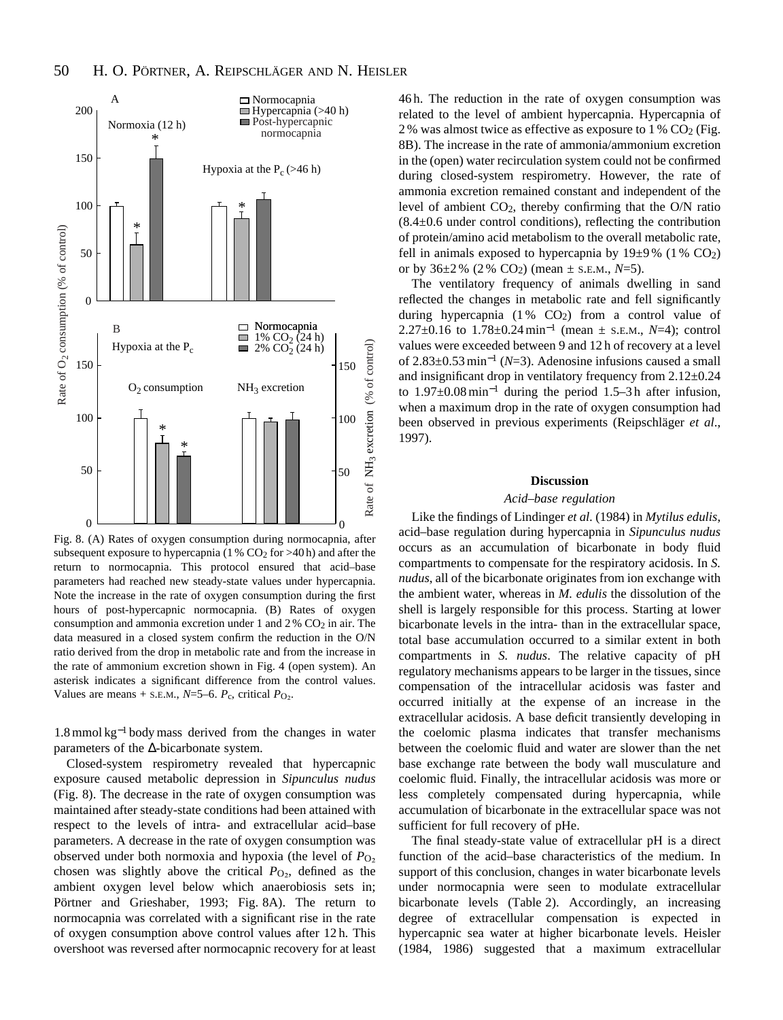

Fig. 8. (A) Rates of oxygen consumption during normocapnia, after subsequent exposure to hypercapnia ( $1\%$  CO<sub>2</sub> for >40 h) and after the return to normocapnia. This protocol ensured that acid–base parameters had reached new steady-state values under hypercapnia. Note the increase in the rate of oxygen consumption during the first hours of post-hypercapnic normocapnia. (B) Rates of oxygen consumption and ammonia excretion under 1 and  $2\%$  CO<sub>2</sub> in air. The data measured in a closed system confirm the reduction in the O/N ratio derived from the drop in metabolic rate and from the increase in the rate of ammonium excretion shown in Fig. 4 (open system). An asterisk indicates a significant difference from the control values. Values are means + s.E.M.,  $N=5-6$ .  $P_c$ , critical  $P_{O_2}$ .

1.8 mmol kg−<sup>1</sup> body mass derived from the changes in water parameters of the ∆-bicarbonate system.

Closed-system respirometry revealed that hypercapnic exposure caused metabolic depression in *Sipunculus nudus* (Fig. 8). The decrease in the rate of oxygen consumption was maintained after steady-state conditions had been attained with respect to the levels of intra- and extracellular acid–base parameters. A decrease in the rate of oxygen consumption was observed under both normoxia and hypoxia (the level of  $P_{\text{O}_2}$ ) chosen was slightly above the critical  $P_{\text{O}_2}$ , defined as the ambient oxygen level below which anaerobiosis sets in; Pörtner and Grieshaber, 1993; Fig. 8A). The return to normocapnia was correlated with a significant rise in the rate of oxygen consumption above control values after 12 h. This overshoot was reversed after normocapnic recovery for at least

46 h. The reduction in the rate of oxygen consumption was related to the level of ambient hypercapnia. Hypercapnia of 2 % was almost twice as effective as exposure to 1 %  $CO<sub>2</sub>$  (Fig. 8B). The increase in the rate of ammonia/ammonium excretion in the (open) water recirculation system could not be confirmed during closed-system respirometry. However, the rate of ammonia excretion remained constant and independent of the level of ambient  $CO<sub>2</sub>$ , thereby confirming that the O/N ratio (8.4±0.6 under control conditions), reflecting the contribution of protein/amino acid metabolism to the overall metabolic rate, fell in animals exposed to hypercapnia by  $19\pm9\%$  (1 % CO<sub>2</sub>) or by  $36\pm2\%$  (2 % CO<sub>2</sub>) (mean  $\pm$  s.e.m., N=5).

The ventilatory frequency of animals dwelling in sand reflected the changes in metabolic rate and fell significantly during hypercapnia  $(1\%$  CO<sub>2</sub>) from a control value of 2.27±0.16 to 1.78±0.24 min−<sup>1</sup> (mean ± S.E.M., *N*=4); control values were exceeded between 9 and 12 h of recovery at a level of 2.83±0.53 min−<sup>1</sup> (*N*=3). Adenosine infusions caused a small and insignificant drop in ventilatory frequency from 2.12±0.24 to 1.97±0.08 min−<sup>1</sup> during the period 1.5–3 h after infusion, when a maximum drop in the rate of oxygen consumption had been observed in previous experiments (Reipschläger *et al*., 1997).

# **Discussion**

## *Acid–base regulation*

Like the findings of Lindinger *et al.* (1984) in *Mytilus edulis*, acid–base regulation during hypercapnia in *Sipunculus nudus* occurs as an accumulation of bicarbonate in body fluid compartments to compensate for the respiratory acidosis. In *S. nudus*, all of the bicarbonate originates from ion exchange with the ambient water, whereas in *M. edulis* the dissolution of the shell is largely responsible for this process. Starting at lower bicarbonate levels in the intra- than in the extracellular space, total base accumulation occurred to a similar extent in both compartments in *S. nudus*. The relative capacity of pH regulatory mechanisms appears to be larger in the tissues, since compensation of the intracellular acidosis was faster and occurred initially at the expense of an increase in the extracellular acidosis. A base deficit transiently developing in the coelomic plasma indicates that transfer mechanisms between the coelomic fluid and water are slower than the net base exchange rate between the body wall musculature and coelomic fluid. Finally, the intracellular acidosis was more or less completely compensated during hypercapnia, while accumulation of bicarbonate in the extracellular space was not sufficient for full recovery of pHe.

The final steady-state value of extracellular pH is a direct function of the acid–base characteristics of the medium. In support of this conclusion, changes in water bicarbonate levels under normocapnia were seen to modulate extracellular bicarbonate levels (Table 2). Accordingly, an increasing degree of extracellular compensation is expected in hypercapnic sea water at higher bicarbonate levels. Heisler (1984, 1986) suggested that a maximum extracellular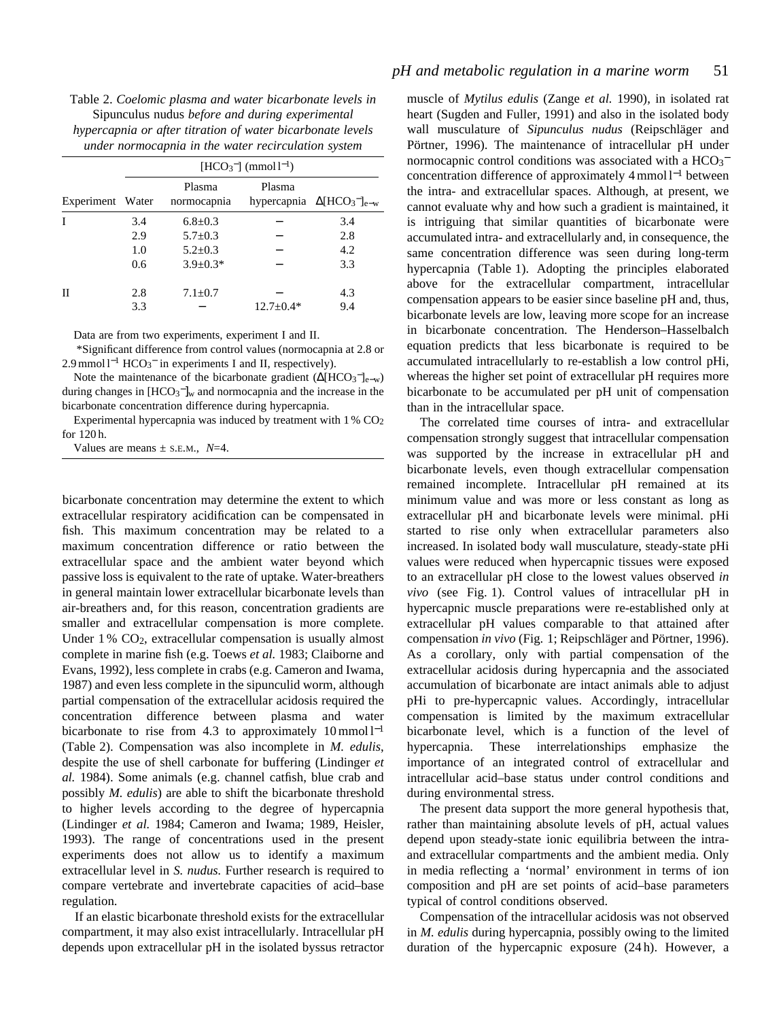| Table 2. Coelomic plasma and water bicarbonate levels in   |
|------------------------------------------------------------|
| Sipunculus nudus <i>before and during experimental</i>     |
| hypercapnia or after titration of water bicarbonate levels |
| under normocapnia in the water recirculation system        |

|                  |     |                       | $[HCO3-]$ (mmol l <sup>-1</sup> ) |                                     |
|------------------|-----|-----------------------|-----------------------------------|-------------------------------------|
| Experiment Water |     | Plasma<br>normocapnia | Plasma                            | hypercapnia $\Delta[HCO_3^-]_{e-w}$ |
| Ι                | 3.4 | $6.8 \pm 0.3$         |                                   | 3.4                                 |
|                  | 2.9 | $5.7 \pm 0.3$         |                                   | 2.8                                 |
|                  | 1.0 | $5.2 \pm 0.3$         |                                   | 4.2                                 |
|                  | 0.6 | $3.9 \pm 0.3*$        |                                   | 3.3                                 |
| Н                | 2.8 | $7.1 \pm 0.7$         |                                   | 4.3                                 |
|                  | 3.3 |                       | $12.7 \pm 0.4*$                   | 9.4                                 |

Data are from two experiments, experiment I and II.

\*Significant difference from control values (normocapnia at 2.8 or 2.9 mmol l<sup>-1</sup> HCO<sub>3</sub><sup>−</sup> in experiments I and II, respectively).

Note the maintenance of the bicarbonate gradient  $(\Delta[\text{HCO}_3^-]_{e-w})$ during changes in  $[HCO_3^-]_w$  and normocapnia and the increase in the bicarbonate concentration difference during hypercapnia.

Experimental hypercapnia was induced by treatment with  $1\%$  CO<sub>2</sub> for 120 h.

Values are means  $\pm$  s.E.M.,  $N=4$ .

bicarbonate concentration may determine the extent to which extracellular respiratory acidification can be compensated in fish. This maximum concentration may be related to a maximum concentration difference or ratio between the extracellular space and the ambient water beyond which passive loss is equivalent to the rate of uptake. Water-breathers in general maintain lower extracellular bicarbonate levels than air-breathers and, for this reason, concentration gradients are smaller and extracellular compensation is more complete. Under  $1\%$  CO<sub>2</sub>, extracellular compensation is usually almost complete in marine fish (e.g. Toews *et al.* 1983; Claiborne and Evans, 1992), less complete in crabs (e.g. Cameron and Iwama, 1987) and even less complete in the sipunculid worm, although partial compensation of the extracellular acidosis required the concentration difference between plasma and water bicarbonate to rise from 4.3 to approximately  $10 \text{ mmol } 1^{-1}$ (Table 2). Compensation was also incomplete in *M. edulis*, despite the use of shell carbonate for buffering (Lindinger *et al.* 1984). Some animals (e.g. channel catfish, blue crab and possibly *M. edulis*) are able to shift the bicarbonate threshold to higher levels according to the degree of hypercapnia (Lindinger *et al.* 1984; Cameron and Iwama; 1989, Heisler, 1993). The range of concentrations used in the present experiments does not allow us to identify a maximum extracellular level in *S. nudus.* Further research is required to compare vertebrate and invertebrate capacities of acid–base regulation.

If an elastic bicarbonate threshold exists for the extracellular compartment, it may also exist intracellularly. Intracellular pH depends upon extracellular pH in the isolated byssus retractor muscle of *Mytilus edulis* (Zange *et al.* 1990), in isolated rat heart (Sugden and Fuller, 1991) and also in the isolated body wall musculature of *Sipunculus nudus* (Reipschläger and Pörtner, 1996). The maintenance of intracellular pH under normocapnic control conditions was associated with a HCO<sub>3</sub><sup>-</sup> concentration difference of approximately 4 mmol l−<sup>1</sup> between the intra- and extracellular spaces. Although, at present, we cannot evaluate why and how such a gradient is maintained, it is intriguing that similar quantities of bicarbonate were accumulated intra- and extracellularly and, in consequence, the same concentration difference was seen during long-term hypercapnia (Table 1). Adopting the principles elaborated above for the extracellular compartment, intracellular compensation appears to be easier since baseline pH and, thus, bicarbonate levels are low, leaving more scope for an increase in bicarbonate concentration. The Henderson–Hasselbalch equation predicts that less bicarbonate is required to be accumulated intracellularly to re-establish a low control pHi, whereas the higher set point of extracellular pH requires more bicarbonate to be accumulated per pH unit of compensation than in the intracellular space.

The correlated time courses of intra- and extracellular compensation strongly suggest that intracellular compensation was supported by the increase in extracellular pH and bicarbonate levels, even though extracellular compensation remained incomplete. Intracellular pH remained at its minimum value and was more or less constant as long as extracellular pH and bicarbonate levels were minimal. pHi started to rise only when extracellular parameters also increased. In isolated body wall musculature, steady-state pHi values were reduced when hypercapnic tissues were exposed to an extracellular pH close to the lowest values observed *in vivo* (see Fig. 1). Control values of intracellular pH in hypercapnic muscle preparations were re-established only at extracellular pH values comparable to that attained after compensation *in vivo* (Fig. 1; Reipschläger and Pörtner, 1996). As a corollary, only with partial compensation of the extracellular acidosis during hypercapnia and the associated accumulation of bicarbonate are intact animals able to adjust pHi to pre-hypercapnic values. Accordingly, intracellular compensation is limited by the maximum extracellular bicarbonate level, which is a function of the level of hypercapnia. These interrelationships emphasize the importance of an integrated control of extracellular and intracellular acid–base status under control conditions and during environmental stress.

The present data support the more general hypothesis that, rather than maintaining absolute levels of pH, actual values depend upon steady-state ionic equilibria between the intraand extracellular compartments and the ambient media. Only in media reflecting a 'normal' environment in terms of ion composition and pH are set points of acid–base parameters typical of control conditions observed.

Compensation of the intracellular acidosis was not observed in *M. edulis* during hypercapnia, possibly owing to the limited duration of the hypercapnic exposure (24 h). However, a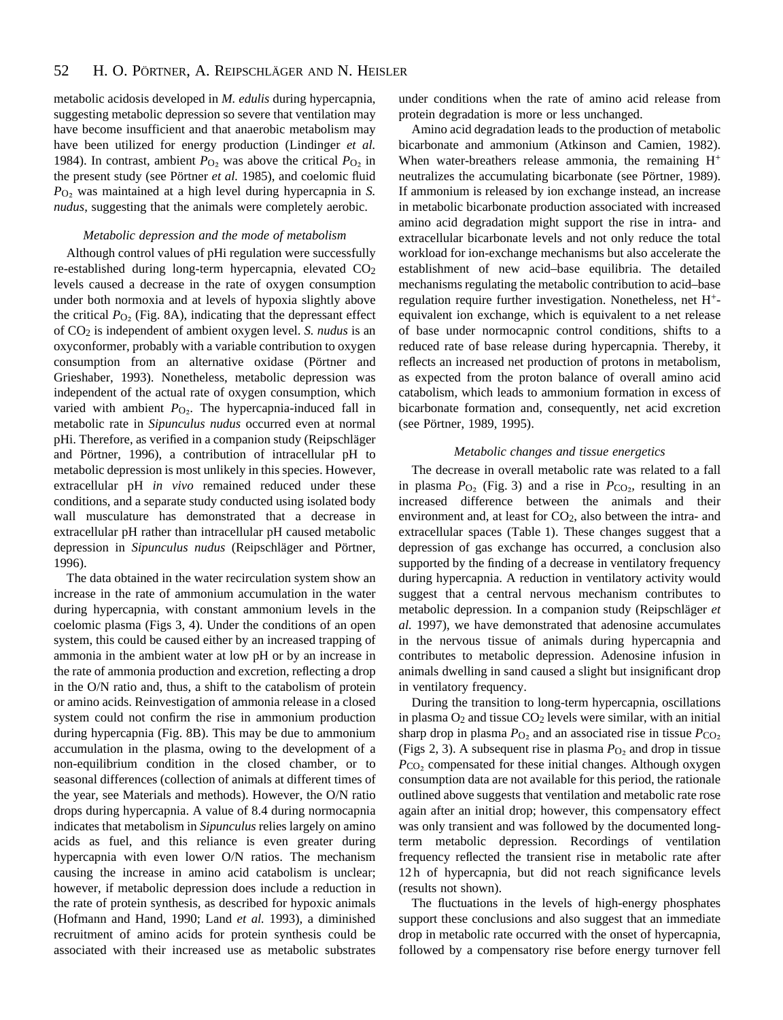metabolic acidosis developed in *M. edulis* during hypercapnia, suggesting metabolic depression so severe that ventilation may have become insufficient and that anaerobic metabolism may have been utilized for energy production (Lindinger *et al.* 1984). In contrast, ambient  $P<sub>O</sub>$  was above the critical  $P<sub>O</sub>$  in the present study (see Pörtner *et al.* 1985), and coelomic fluid *P*<sub>O</sub><sub>2</sub> was maintained at a high level during hypercapnia in *S*. *nudus*, suggesting that the animals were completely aerobic.

## *Metabolic depression and the mode of metabolism*

Although control values of pHi regulation were successfully re-established during long-term hypercapnia, elevated CO2 levels caused a decrease in the rate of oxygen consumption under both normoxia and at levels of hypoxia slightly above the critical  $P_{\text{O}_2}$  (Fig. 8A), indicating that the depressant effect of CO2 is independent of ambient oxygen level. *S. nudus* is an oxyconformer, probably with a variable contribution to oxygen consumption from an alternative oxidase (Pörtner and Grieshaber, 1993). Nonetheless, metabolic depression was independent of the actual rate of oxygen consumption, which varied with ambient *P*<sub>O2</sub>. The hypercapnia-induced fall in metabolic rate in *Sipunculus nudus* occurred even at normal pHi. Therefore, as verified in a companion study (Reipschläger and Pörtner, 1996), a contribution of intracellular pH to metabolic depression is most unlikely in this species. However, extracellular pH *in vivo* remained reduced under these conditions, and a separate study conducted using isolated body wall musculature has demonstrated that a decrease in extracellular pH rather than intracellular pH caused metabolic depression in *Sipunculus nudus* (Reipschläger and Pörtner, 1996).

The data obtained in the water recirculation system show an increase in the rate of ammonium accumulation in the water during hypercapnia, with constant ammonium levels in the coelomic plasma (Figs 3, 4). Under the conditions of an open system, this could be caused either by an increased trapping of ammonia in the ambient water at low pH or by an increase in the rate of ammonia production and excretion, reflecting a drop in the O/N ratio and, thus, a shift to the catabolism of protein or amino acids. Reinvestigation of ammonia release in a closed system could not confirm the rise in ammonium production during hypercapnia (Fig. 8B). This may be due to ammonium accumulation in the plasma, owing to the development of a non-equilibrium condition in the closed chamber, or to seasonal differences (collection of animals at different times of the year, see Materials and methods). However, the O/N ratio drops during hypercapnia. A value of 8.4 during normocapnia indicates that metabolism in *Sipunculus* relies largely on amino acids as fuel, and this reliance is even greater during hypercapnia with even lower O/N ratios. The mechanism causing the increase in amino acid catabolism is unclear; however, if metabolic depression does include a reduction in the rate of protein synthesis, as described for hypoxic animals (Hofmann and Hand, 1990; Land *et al.* 1993), a diminished recruitment of amino acids for protein synthesis could be associated with their increased use as metabolic substrates

under conditions when the rate of amino acid release from protein degradation is more or less unchanged.

Amino acid degradation leads to the production of metabolic bicarbonate and ammonium (Atkinson and Camien, 1982). When water-breathers release ammonia, the remaining H<sup>+</sup> neutralizes the accumulating bicarbonate (see Pörtner, 1989). If ammonium is released by ion exchange instead, an increase in metabolic bicarbonate production associated with increased amino acid degradation might support the rise in intra- and extracellular bicarbonate levels and not only reduce the total workload for ion-exchange mechanisms but also accelerate the establishment of new acid–base equilibria. The detailed mechanisms regulating the metabolic contribution to acid–base regulation require further investigation. Nonetheless, net H+ equivalent ion exchange, which is equivalent to a net release of base under normocapnic control conditions, shifts to a reduced rate of base release during hypercapnia. Thereby, it reflects an increased net production of protons in metabolism, as expected from the proton balance of overall amino acid catabolism, which leads to ammonium formation in excess of bicarbonate formation and, consequently, net acid excretion (see Pörtner, 1989, 1995).

## *Metabolic changes and tissue energetics*

The decrease in overall metabolic rate was related to a fall in plasma  $P_{\text{O}_2}$  (Fig. 3) and a rise in  $P_{\text{CO}_2}$ , resulting in an increased difference between the animals and their environment and, at least for CO<sub>2</sub>, also between the intra- and extracellular spaces (Table 1). These changes suggest that a depression of gas exchange has occurred, a conclusion also supported by the finding of a decrease in ventilatory frequency during hypercapnia. A reduction in ventilatory activity would suggest that a central nervous mechanism contributes to metabolic depression. In a companion study (Reipschläger *et al.* 1997), we have demonstrated that adenosine accumulates in the nervous tissue of animals during hypercapnia and contributes to metabolic depression. Adenosine infusion in animals dwelling in sand caused a slight but insignificant drop in ventilatory frequency.

During the transition to long-term hypercapnia, oscillations in plasma  $O_2$  and tissue  $CO_2$  levels were similar, with an initial sharp drop in plasma  $P_{\text{O}_2}$  and an associated rise in tissue  $P_{\text{CO}_2}$ (Figs 2, 3). A subsequent rise in plasma  $P_{\text{O}_2}$  and drop in tissue  $P_{\rm CO}$  compensated for these initial changes. Although oxygen consumption data are not available for this period, the rationale outlined above suggests that ventilation and metabolic rate rose again after an initial drop; however, this compensatory effect was only transient and was followed by the documented longterm metabolic depression. Recordings of ventilation frequency reflected the transient rise in metabolic rate after 12 h of hypercapnia, but did not reach significance levels (results not shown).

The fluctuations in the levels of high-energy phosphates support these conclusions and also suggest that an immediate drop in metabolic rate occurred with the onset of hypercapnia, followed by a compensatory rise before energy turnover fell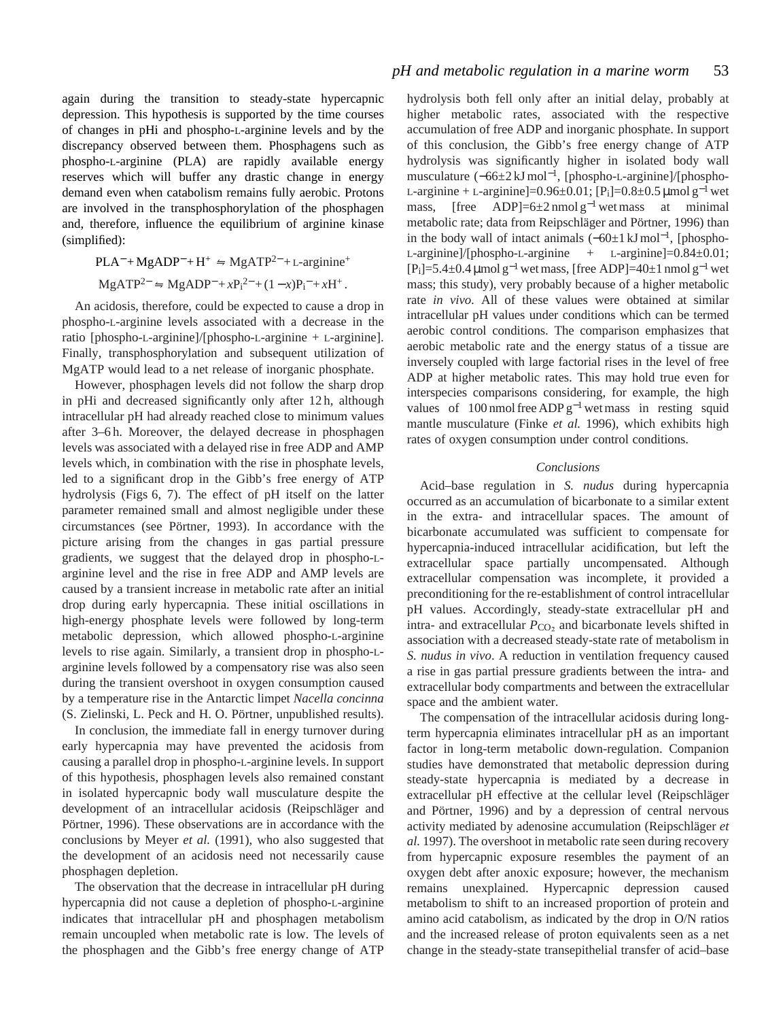again during the transition to steady-state hypercapnic depression. This hypothesis is supported by the time courses of changes in pHi and phospho-L-arginine levels and by the discrepancy observed between them. Phosphagens such as phospho-L-arginine (PLA) are rapidly available energy reserves which will buffer any drastic change in energy demand even when catabolism remains fully aerobic. Protons are involved in the transphosphorylation of the phosphagen and, therefore, influence the equilibrium of arginine kinase (simplified):

$$
PLA^{-} + MgADP^{-} + H^{+} \Leftrightarrow MgATP^{2-} + L\text{-arginine}^{+}
$$
  

$$
MgATP^{2-} \Leftrightarrow MgADP^{-} + xP_{1}^{2-} + (1-x)P_{1}^{-} + xH^{+}.
$$

An acidosis, therefore, could be expected to cause a drop in phospho-L-arginine levels associated with a decrease in the ratio [phospho-L-arginine]/[phospho-L-arginine + L-arginine]. Finally, transphosphorylation and subsequent utilization of MgATP would lead to a net release of inorganic phosphate.

However, phosphagen levels did not follow the sharp drop in pHi and decreased significantly only after 12 h, although intracellular pH had already reached close to minimum values after 3–6 h. Moreover, the delayed decrease in phosphagen levels was associated with a delayed rise in free ADP and AMP levels which, in combination with the rise in phosphate levels, led to a significant drop in the Gibb's free energy of ATP hydrolysis (Figs 6, 7). The effect of pH itself on the latter parameter remained small and almost negligible under these circumstances (see Pörtner, 1993). In accordance with the picture arising from the changes in gas partial pressure gradients, we suggest that the delayed drop in phospho-Larginine level and the rise in free ADP and AMP levels are caused by a transient increase in metabolic rate after an initial drop during early hypercapnia. These initial oscillations in high-energy phosphate levels were followed by long-term metabolic depression, which allowed phospho-L-arginine levels to rise again. Similarly, a transient drop in phospho-Larginine levels followed by a compensatory rise was also seen during the transient overshoot in oxygen consumption caused by a temperature rise in the Antarctic limpet *Nacella concinna* (S. Zielinski, L. Peck and H. O. Pörtner, unpublished results).

In conclusion, the immediate fall in energy turnover during early hypercapnia may have prevented the acidosis from causing a parallel drop in phospho-L-arginine levels. In support of this hypothesis, phosphagen levels also remained constant in isolated hypercapnic body wall musculature despite the development of an intracellular acidosis (Reipschläger and Pörtner, 1996). These observations are in accordance with the conclusions by Meyer *et al.* (1991), who also suggested that the development of an acidosis need not necessarily cause phosphagen depletion.

The observation that the decrease in intracellular pH during hypercapnia did not cause a depletion of phospho-L-arginine indicates that intracellular pH and phosphagen metabolism remain uncoupled when metabolic rate is low. The levels of the phosphagen and the Gibb's free energy change of ATP hydrolysis both fell only after an initial delay, probably at higher metabolic rates, associated with the respective accumulation of free ADP and inorganic phosphate. In support of this conclusion, the Gibb's free energy change of ATP hydrolysis was significantly higher in isolated body wall musculature (−66±2 kJ mol<sup>−</sup>1, [phospho-L-arginine]/[phospho-L-arginine + L-arginine]= $0.96\pm0.01$ ; [P<sub>i</sub>]= $0.8\pm0.5$  µmol g<sup>-1</sup> wet mass, [free ADP]=6±2 nmol  $g^{-1}$  wet mass at minimal metabolic rate; data from Reipschläger and Pörtner, 1996) than in the body wall of intact animals  $(-60±1 \text{ kJ} \text{ mol}^{-1}$ , [phospho-L-arginine]/[phospho-L-arginine  $+$  L-arginine]= $0.84 \pm 0.01$ ;  $[P_i]=5.4\pm0.4 \,\mu$ mol g<sup>-1</sup> wet mass, [free ADP]=40±1 nmol g<sup>-1</sup> wet mass; this study), very probably because of a higher metabolic rate *in vivo*. All of these values were obtained at similar intracellular pH values under conditions which can be termed aerobic control conditions. The comparison emphasizes that aerobic metabolic rate and the energy status of a tissue are inversely coupled with large factorial rises in the level of free ADP at higher metabolic rates. This may hold true even for interspecies comparisons considering, for example, the high values of 100 nmol free ADP g<sup>-1</sup> wet mass in resting squid mantle musculature (Finke *et al.* 1996), which exhibits high rates of oxygen consumption under control conditions.

## *Conclusions*

Acid–base regulation in *S. nudus* during hypercapnia occurred as an accumulation of bicarbonate to a similar extent in the extra- and intracellular spaces. The amount of bicarbonate accumulated was sufficient to compensate for hypercapnia-induced intracellular acidification, but left the extracellular space partially uncompensated. Although extracellular compensation was incomplete, it provided a preconditioning for the re-establishment of control intracellular pH values. Accordingly, steady-state extracellular pH and intra- and extracellular  $P_{CO<sub>2</sub>}$  and bicarbonate levels shifted in association with a decreased steady-state rate of metabolism in *S. nudus in vivo*. A reduction in ventilation frequency caused a rise in gas partial pressure gradients between the intra- and extracellular body compartments and between the extracellular space and the ambient water.

The compensation of the intracellular acidosis during longterm hypercapnia eliminates intracellular pH as an important factor in long-term metabolic down-regulation. Companion studies have demonstrated that metabolic depression during steady-state hypercapnia is mediated by a decrease in extracellular pH effective at the cellular level (Reipschläger and Pörtner, 1996) and by a depression of central nervous activity mediated by adenosine accumulation (Reipschläger *et al.* 1997). The overshoot in metabolic rate seen during recovery from hypercapnic exposure resembles the payment of an oxygen debt after anoxic exposure; however, the mechanism remains unexplained. Hypercapnic depression caused metabolism to shift to an increased proportion of protein and amino acid catabolism, as indicated by the drop in O/N ratios and the increased release of proton equivalents seen as a net change in the steady-state transepithelial transfer of acid–base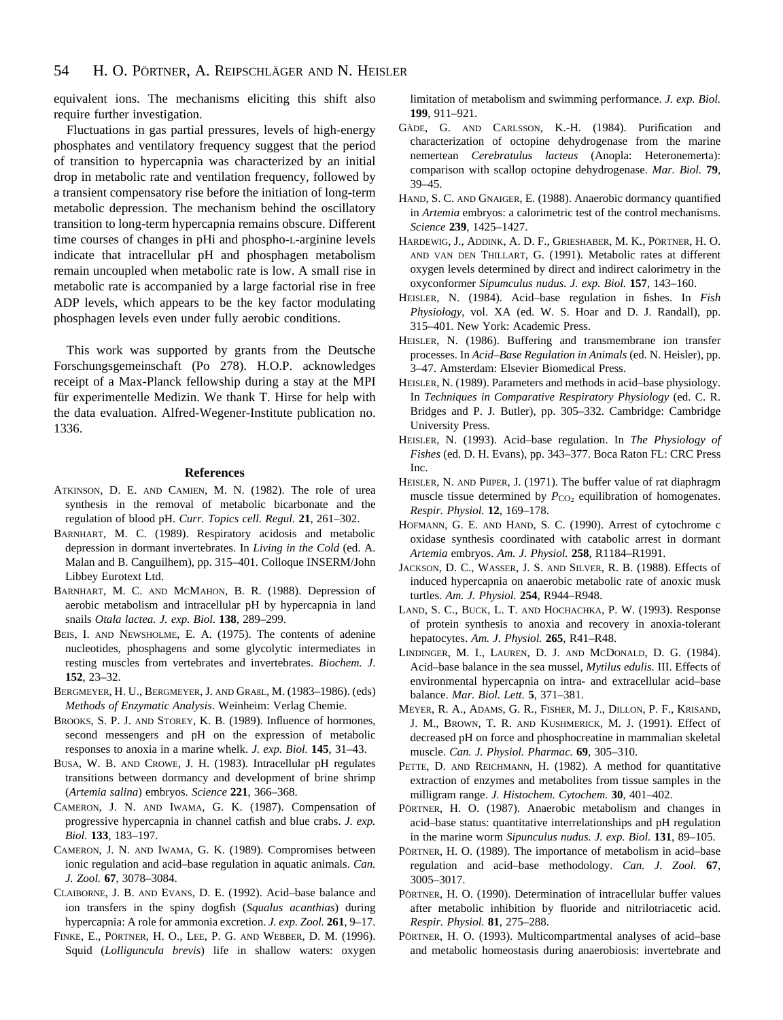equivalent ions. The mechanisms eliciting this shift also require further investigation.

Fluctuations in gas partial pressures, levels of high-energy phosphates and ventilatory frequency suggest that the period of transition to hypercapnia was characterized by an initial drop in metabolic rate and ventilation frequency, followed by a transient compensatory rise before the initiation of long-term metabolic depression. The mechanism behind the oscillatory transition to long-term hypercapnia remains obscure. Different time courses of changes in pHi and phospho-L-arginine levels indicate that intracellular pH and phosphagen metabolism remain uncoupled when metabolic rate is low. A small rise in metabolic rate is accompanied by a large factorial rise in free ADP levels, which appears to be the key factor modulating phosphagen levels even under fully aerobic conditions.

This work was supported by grants from the Deutsche Forschungsgemeinschaft (Po 278). H.O.P. acknowledges receipt of a Max-Planck fellowship during a stay at the MPI für experimentelle Medizin. We thank T. Hirse for help with the data evaluation. Alfred-Wegener-Institute publication no. 1336.

# **References**

- ATKINSON, D. E. AND CAMIEN, M. N. (1982). The role of urea synthesis in the removal of metabolic bicarbonate and the regulation of blood pH. *Curr. Topics cell. Regul.* **21**, 261–302.
- BARNHART, M. C. (1989). Respiratory acidosis and metabolic depression in dormant invertebrates. In *Living in the Cold* (ed. A. Malan and B. Canguilhem), pp. 315–401. Colloque INSERM/John Libbey Eurotext Ltd.
- BARNHART, M. C. AND MCMAHON, B. R. (1988). Depression of aerobic metabolism and intracellular pH by hypercapnia in land snails *Otala lactea. J. exp. Biol.* **138**, 289–299.
- BEIS, I. AND NEWSHOLME, E. A. (1975). The contents of adenine nucleotides, phosphagens and some glycolytic intermediates in resting muscles from vertebrates and invertebrates. *Biochem. J*. **152**, 23–32.
- BERGMEYER, H. U., BERGMEYER, J. AND GRAßL, M. (1983–1986). (eds) *Methods of Enzymatic Analysis*. Weinheim: Verlag Chemie.
- BROOKS, S. P. J. AND STOREY, K. B. (1989). Influence of hormones, second messengers and pH on the expression of metabolic responses to anoxia in a marine whelk. *J. exp. Biol.* **145**, 31–43.
- BUSA, W. B. AND CROWE, J. H. (1983). Intracellular pH regulates transitions between dormancy and development of brine shrimp (*Artemia salina*) embryos. *Science* **221**, 366–368.
- CAMERON, J. N. AND IWAMA, G. K. (1987). Compensation of progressive hypercapnia in channel catfish and blue crabs. *J. exp. Biol.* **133**, 183–197.
- CAMERON, J. N. AND IWAMA, G. K. (1989). Compromises between ionic regulation and acid–base regulation in aquatic animals. *Can. J. Zool.* **67**, 3078–3084.
- CLAIBORNE, J. B. AND EVANS, D. E. (1992). Acid–base balance and ion transfers in the spiny dogfish (*Squalus acanthias*) during hypercapnia: A role for ammonia excretion. *J. exp. Zool.* **261**, 9–17.
- FINKE, E., PÖRTNER, H. O., LEE, P. G. AND WEBBER, D. M. (1996). Squid (*Lolliguncula brevis*) life in shallow waters: oxygen

limitation of metabolism and swimming performance. *J. exp. Biol.* **199**, 911–921.

- GÄDE, G. AND CARLSSON, K.-H. (1984). Purification and characterization of octopine dehydrogenase from the marine nemertean *Cerebratulus lacteus* (Anopla: Heteronemerta): comparison with scallop octopine dehydrogenase. *Mar. Biol.* **79**, 39–45.
- HAND, S. C. AND GNAIGER, E. (1988). Anaerobic dormancy quantified in *Artemia* embryos: a calorimetric test of the control mechanisms. *Science* **239**, 1425–1427.
- HARDEWIG, J., ADDINK, A. D. F., GRIESHABER, M. K., PÖRTNER, H. O. AND VAN DEN THILLART, G. (1991). Metabolic rates at different oxygen levels determined by direct and indirect calorimetry in the oxyconformer *Sipumculus nudus. J. exp. Biol.* **157**, 143–160.
- HEISLER, N. (1984). Acid–base regulation in fishes. In *Fish Physiology*, vol. XA (ed. W. S. Hoar and D. J. Randall), pp. 315–401. New York: Academic Press.
- HEISLER, N. (1986). Buffering and transmembrane ion transfer processes. In *Acid–Base Regulation in Animals* (ed. N. Heisler), pp. 3–47. Amsterdam: Elsevier Biomedical Press.
- HEISLER, N. (1989). Parameters and methods in acid–base physiology. In *Techniques in Comparative Respiratory Physiology* (ed. C. R. Bridges and P. J. Butler), pp. 305–332. Cambridge: Cambridge University Press.
- HEISLER, N. (1993). Acid–base regulation. In *The Physiology of Fishes* (ed. D. H. Evans), pp. 343–377. Boca Raton FL: CRC Press Inc.
- HEISLER, N. AND PIIPER, J. (1971). The buffer value of rat diaphragm muscle tissue determined by  $P_{CO<sub>2</sub>}$  equilibration of homogenates. *Respir. Physiol.* **12**, 169–178.
- HOFMANN, G. E. AND HAND, S. C. (1990). Arrest of cytochrome c oxidase synthesis coordinated with catabolic arrest in dormant *Artemia* embryos. *Am. J. Physiol.* **258**, R1184–R1991.
- JACKSON, D. C., WASSER, J. S. AND SILVER, R. B. (1988). Effects of induced hypercapnia on anaerobic metabolic rate of anoxic musk turtles. *Am. J. Physiol.* **254**, R944–R948.
- LAND, S. C., BUCK, L. T. AND HOCHACHKA, P. W. (1993). Response of protein synthesis to anoxia and recovery in anoxia-tolerant hepatocytes. *Am. J. Physiol.* **265**, R41–R48.
- LINDINGER, M. I., LAUREN, D. J. AND MCDONALD, D. G. (1984). Acid–base balance in the sea mussel, *Mytilus edulis*. III. Effects of environmental hypercapnia on intra- and extracellular acid–base balance. *Mar. Biol. Lett.* **5**, 371–381.
- MEYER, R. A., ADAMS, G. R., FISHER, M. J., DILLON, P. F., KRISAND, J. M., BROWN, T. R. AND KUSHMERICK, M. J. (1991). Effect of decreased pH on force and phosphocreatine in mammalian skeletal muscle. *Can. J. Physiol. Pharmac.* **69**, 305–310.
- PETTE, D. AND REICHMANN, H. (1982). A method for quantitative extraction of enzymes and metabolites from tissue samples in the milligram range. *J. Histochem. Cytochem.* **30**, 401–402.
- PÖRTNER, H. O. (1987). Anaerobic metabolism and changes in acid–base status: quantitative interrelationships and pH regulation in the marine worm *Sipunculus nudus. J. exp. Biol.* **131**, 89–105.
- PÖRTNER, H. O. (1989). The importance of metabolism in acid–base regulation and acid–base methodology. *Can. J. Zool.* **67**, 3005–3017.
- PÖRTNER, H. O. (1990). Determination of intracellular buffer values after metabolic inhibition by fluoride and nitrilotriacetic acid. *Respir. Physiol.* **81**, 275–288.
- PÖRTNER, H. O. (1993). Multicompartmental analyses of acid–base and metabolic homeostasis during anaerobiosis: invertebrate and